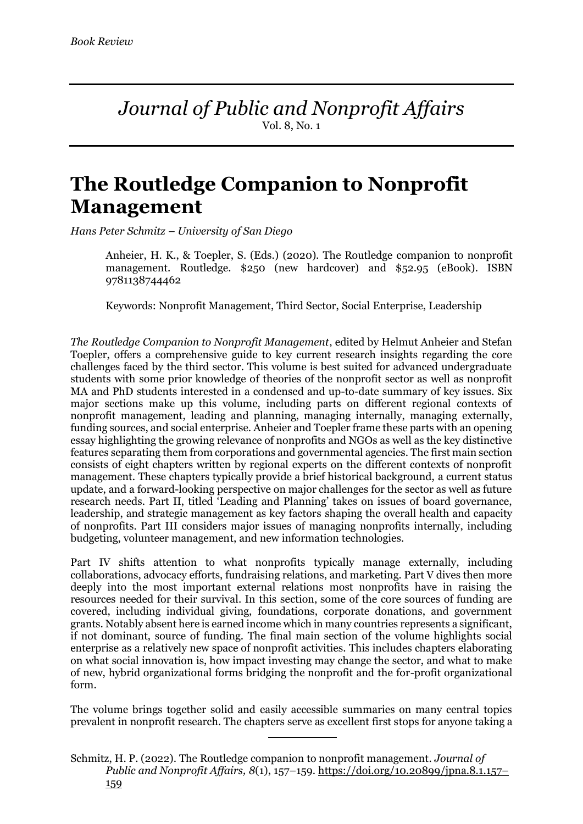*Journal of Public and Nonprofit Affairs* Vol. 8, No. 1

## **The Routledge Companion to Nonprofit Management**

*Hans Peter Schmitz – University of San Diego*

Anheier, H. K., & Toepler, S. (Eds.) (2020). The Routledge companion to nonprofit management. Routledge. \$250 (new hardcover) and \$52.95 (eBook). ISBN 9781138744462

Keywords: Nonprofit Management, Third Sector, Social Enterprise, Leadership

*The Routledge Companion to Nonprofit Management*, edited by Helmut Anheier and Stefan Toepler, offers a comprehensive guide to key current research insights regarding the core challenges faced by the third sector. This volume is best suited for advanced undergraduate students with some prior knowledge of theories of the nonprofit sector as well as nonprofit MA and PhD students interested in a condensed and up-to-date summary of key issues. Six major sections make up this volume, including parts on different regional contexts of nonprofit management, leading and planning, managing internally, managing externally, funding sources, and social enterprise. Anheier and Toepler frame these parts with an opening essay highlighting the growing relevance of nonprofits and NGOs as well as the key distinctive features separating them from corporations and governmental agencies. The first main section consists of eight chapters written by regional experts on the different contexts of nonprofit management. These chapters typically provide a brief historical background, a current status update, and a forward-looking perspective on major challenges for the sector as well as future research needs. Part II, titled 'Leading and Planning' takes on issues of board governance, leadership, and strategic management as key factors shaping the overall health and capacity of nonprofits. Part III considers major issues of managing nonprofits internally, including budgeting, volunteer management, and new information technologies.

Part IV shifts attention to what nonprofits typically manage externally, including collaborations, advocacy efforts, fundraising relations, and marketing. Part V dives then more deeply into the most important external relations most nonprofits have in raising the resources needed for their survival. In this section, some of the core sources of funding are covered, including individual giving, foundations, corporate donations, and government grants. Notably absent here is earned income which in many countries represents a significant, if not dominant, source of funding. The final main section of the volume highlights social enterprise as a relatively new space of nonprofit activities. This includes chapters elaborating on what social innovation is, how impact investing may change the sector, and what to make of new, hybrid organizational forms bridging the nonprofit and the for-profit organizational form.

The volume brings together solid and easily accessible summaries on many central topics prevalent in nonprofit research. The chapters serve as excellent first stops for anyone taking a

Schmitz, H. P. (2022). The Routledge companion to nonprofit management. *Journal of Public and Nonprofit Affairs, 8*(1), 157–159. https://doi.org/10.20899/jpna.8.1.157– 159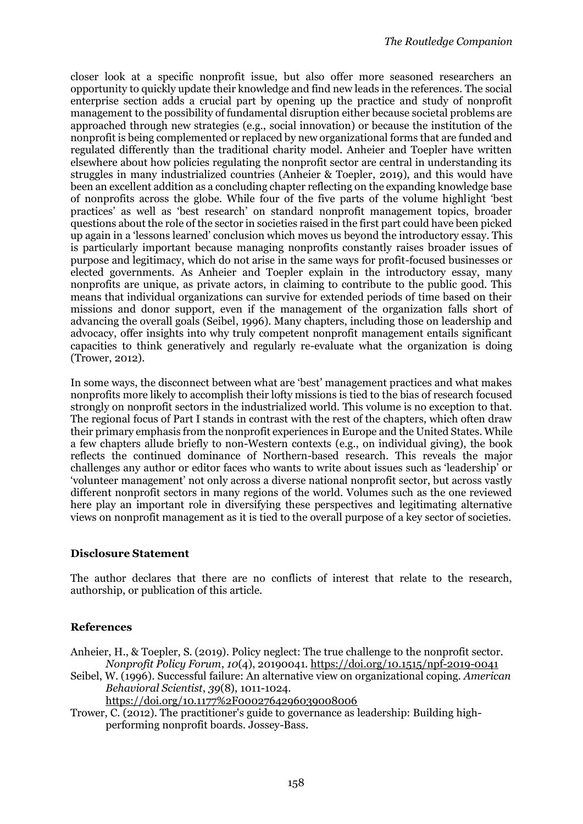closer look at a specific nonprofit issue, but also offer more seasoned researchers an opportunity to quickly update their knowledge and find new leads in the references. The social enterprise section adds a crucial part by opening up the practice and study of nonprofit management to the possibility of fundamental disruption either because societal problems are approached through new strategies (e.g., social innovation) or because the institution of the nonprofit is being complemented or replaced by new organizational forms that are funded and regulated differently than the traditional charity model. Anheier and Toepler have written elsewhere about how policies regulating the nonprofit sector are central in understanding its struggles in many industrialized countries (Anheier & Toepler, 2019), and this would have been an excellent addition as a concluding chapter reflecting on the expanding knowledge base of nonprofits across the globe. While four of the five parts of the volume highlight 'best practices' as well as 'best research' on standard nonprofit management topics, broader questions about the role of the sector in societies raised in the first part could have been picked up again in a 'lessons learned' conclusion which moves us beyond the introductory essay. This is particularly important because managing nonprofits constantly raises broader issues of purpose and legitimacy, which do not arise in the same ways for profit-focused businesses or elected governments. As Anheier and Toepler explain in the introductory essay, many nonprofits are unique, as private actors, in claiming to contribute to the public good. This means that individual organizations can survive for extended periods of time based on their missions and donor support, even if the management of the organization falls short of advancing the overall goals (Seibel, 1996). Many chapters, including those on leadership and advocacy, offer insights into why truly competent nonprofit management entails significant capacities to think generatively and regularly re-evaluate what the organization is doing (Trower, 2012).

In some ways, the disconnect between what are 'best' management practices and what makes nonprofits more likely to accomplish their lofty missions is tied to the bias of research focused strongly on nonprofit sectors in the industrialized world. This volume is no exception to that. The regional focus of Part I stands in contrast with the rest of the chapters, which often draw their primary emphasis from the nonprofit experiences in Europe and the United States. While a few chapters allude briefly to non-Western contexts (e.g., on individual giving), the book reflects the continued dominance of Northern-based research. This reveals the major challenges any author or editor faces who wants to write about issues such as 'leadership' or 'volunteer management' not only across a diverse national nonprofit sector, but across vastly different nonprofit sectors in many regions of the world. Volumes such as the one reviewed here play an important role in diversifying these perspectives and legitimating alternative views on nonprofit management as it is tied to the overall purpose of a key sector of societies.

## **Disclosure Statement**

The author declares that there are no conflicts of interest that relate to the research, authorship, or publication of this article.

## **References**

- Anheier, H., & Toepler, S. (2019). Policy neglect: The true challenge to the nonprofit sector. *Nonprofit Policy Forum*, *10*(4), 20190041. https://doi.org/10.1515/npf-2019-0041
- Seibel, W. (1996). Successful failure: An alternative view on organizational coping. *American Behavioral Scientist*, *39*(8), 1011-1024.

https://doi.org/10.1177%2F0002764296039008006

Trower, C. (2012). The practitioner's guide to governance as leadership: Building highperforming nonprofit boards. Jossey-Bass.